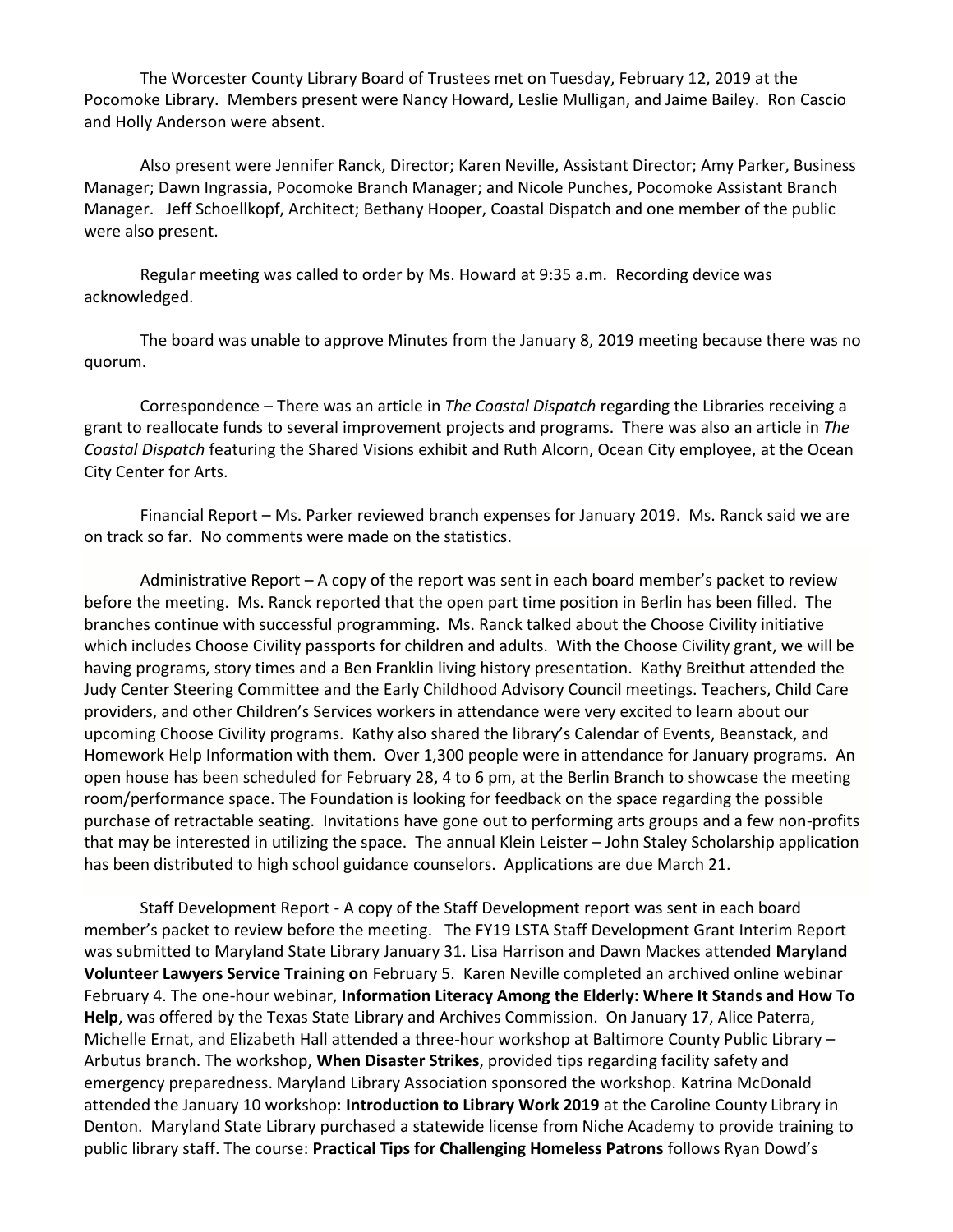The Worcester County Library Board of Trustees met on Tuesday, February 12, 2019 at the Pocomoke Library. Members present were Nancy Howard, Leslie Mulligan, and Jaime Bailey. Ron Cascio and Holly Anderson were absent.

Also present were Jennifer Ranck, Director; Karen Neville, Assistant Director; Amy Parker, Business Manager; Dawn Ingrassia, Pocomoke Branch Manager; and Nicole Punches, Pocomoke Assistant Branch Manager. Jeff Schoellkopf, Architect; Bethany Hooper, Coastal Dispatch and one member of the public were also present.

Regular meeting was called to order by Ms. Howard at 9:35 a.m. Recording device was acknowledged.

The board was unable to approve Minutes from the January 8, 2019 meeting because there was no quorum.

Correspondence – There was an article in *The Coastal Dispatch* regarding the Libraries receiving a grant to reallocate funds to several improvement projects and programs. There was also an article in *The Coastal Dispatch* featuring the Shared Visions exhibit and Ruth Alcorn, Ocean City employee, at the Ocean City Center for Arts.

Financial Report – Ms. Parker reviewed branch expenses for January 2019. Ms. Ranck said we are on track so far. No comments were made on the statistics.

Administrative Report – A copy of the report was sent in each board member's packet to review before the meeting. Ms. Ranck reported that the open part time position in Berlin has been filled. The branches continue with successful programming. Ms. Ranck talked about the Choose Civility initiative which includes Choose Civility passports for children and adults. With the Choose Civility grant, we will be having programs, story times and a Ben Franklin living history presentation. Kathy Breithut attended the Judy Center Steering Committee and the Early Childhood Advisory Council meetings. Teachers, Child Care providers, and other Children's Services workers in attendance were very excited to learn about our upcoming Choose Civility programs. Kathy also shared the library's Calendar of Events, Beanstack, and Homework Help Information with them. Over 1,300 people were in attendance for January programs. An open house has been scheduled for February 28, 4 to 6 pm, at the Berlin Branch to showcase the meeting room/performance space. The Foundation is looking for feedback on the space regarding the possible purchase of retractable seating. Invitations have gone out to performing arts groups and a few non-profits that may be interested in utilizing the space. The annual Klein Leister – John Staley Scholarship application has been distributed to high school guidance counselors. Applications are due March 21.

Staff Development Report - A copy of the Staff Development report was sent in each board member's packet to review before the meeting. The FY19 LSTA Staff Development Grant Interim Report was submitted to Maryland State Library January 31. Lisa Harrison and Dawn Mackes attended **Maryland Volunteer Lawyers Service Training on** February 5. Karen Neville completed an archived online webinar February 4. The one-hour webinar, **Information Literacy Among the Elderly: Where It Stands and How To Help**, was offered by the Texas State Library and Archives Commission. On January 17, Alice Paterra, Michelle Ernat, and Elizabeth Hall attended a three-hour workshop at Baltimore County Public Library – Arbutus branch. The workshop, **When Disaster Strikes**, provided tips regarding facility safety and emergency preparedness. Maryland Library Association sponsored the workshop. Katrina McDonald attended the January 10 workshop: **Introduction to Library Work 2019** at the Caroline County Library in Denton. Maryland State Library purchased a statewide license from Niche Academy to provide training to public library staff. The course: **Practical Tips for Challenging Homeless Patrons** follows Ryan Dowd's